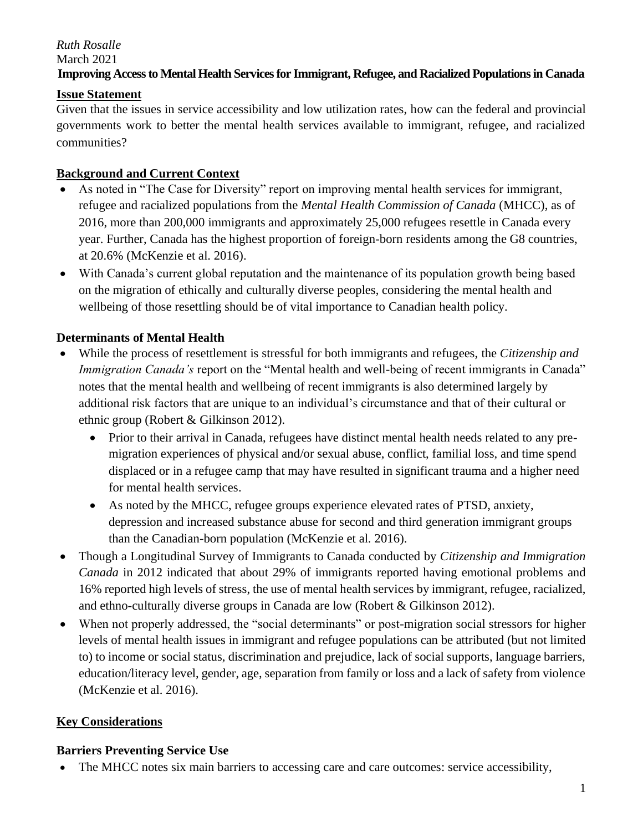### *Ruth Rosalle* March 2021 **Improving Access to Mental Health Services for Immigrant, Refugee, and Racialized Populations in Canada**

#### **Issue Statement**

Given that the issues in service accessibility and low utilization rates, how can the federal and provincial governments work to better the mental health services available to immigrant, refugee, and racialized communities?

#### **Background and Current Context**

- As noted in "The Case for Diversity" report on improving mental health services for immigrant, refugee and racialized populations from the *Mental Health Commission of Canada* (MHCC), as of 2016, more than 200,000 immigrants and approximately 25,000 refugees resettle in Canada every year. Further, Canada has the highest proportion of foreign-born residents among the G8 countries, at 20.6% (McKenzie et al. 2016).
- With Canada's current global reputation and the maintenance of its population growth being based on the migration of ethically and culturally diverse peoples, considering the mental health and wellbeing of those resettling should be of vital importance to Canadian health policy.

### **Determinants of Mental Health**

- While the process of resettlement is stressful for both immigrants and refugees, the *Citizenship and Immigration Canada's* report on the "Mental health and well-being of recent immigrants in Canada" notes that the mental health and wellbeing of recent immigrants is also determined largely by additional risk factors that are unique to an individual's circumstance and that of their cultural or ethnic group (Robert & Gilkinson 2012).
	- Prior to their arrival in Canada, refugees have distinct mental health needs related to any premigration experiences of physical and/or sexual abuse, conflict, familial loss, and time spend displaced or in a refugee camp that may have resulted in significant trauma and a higher need for mental health services.
	- As noted by the MHCC, refugee groups experience elevated rates of PTSD, anxiety, depression and increased substance abuse for second and third generation immigrant groups than the Canadian-born population (McKenzie et al. 2016).
- Though a Longitudinal Survey of Immigrants to Canada conducted by *Citizenship and Immigration Canada* in 2012 indicated that about 29% of immigrants reported having emotional problems and 16% reported high levels of stress, the use of mental health services by immigrant, refugee, racialized, and ethno-culturally diverse groups in Canada are low (Robert & Gilkinson 2012).
- When not properly addressed, the "social determinants" or post-migration social stressors for higher levels of mental health issues in immigrant and refugee populations can be attributed (but not limited to) to income or social status, discrimination and prejudice, lack of social supports, language barriers, education/literacy level, gender, age, separation from family or loss and a lack of safety from violence (McKenzie et al. 2016).

#### **Key Considerations**

#### **Barriers Preventing Service Use**

The MHCC notes six main barriers to accessing care and care outcomes: service accessibility,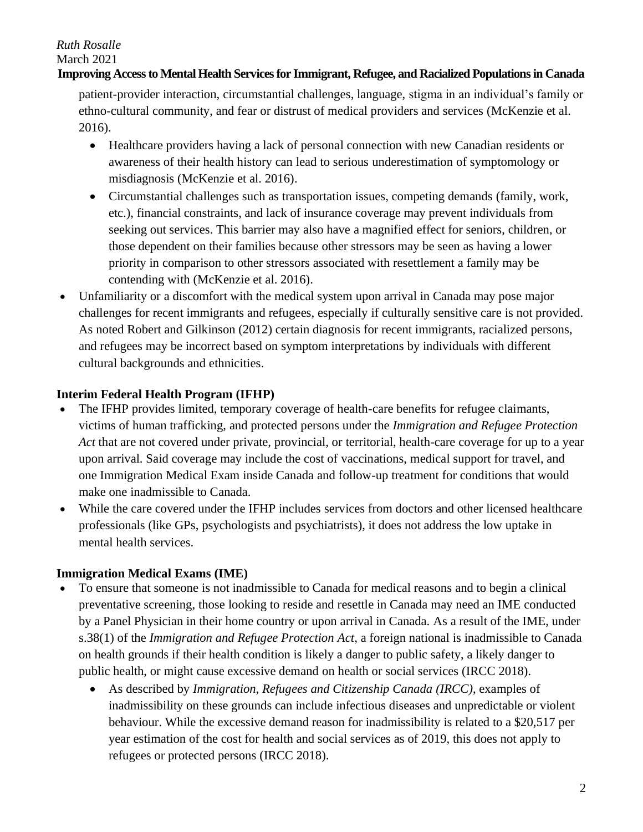# *Ruth Rosalle*

March 2021

#### **Improving Access to Mental Health Services for Immigrant, Refugee, and Racialized Populations in Canada**

patient-provider interaction, circumstantial challenges, language, stigma in an individual's family or ethno-cultural community, and fear or distrust of medical providers and services (McKenzie et al. 2016).

- Healthcare providers having a lack of personal connection with new Canadian residents or awareness of their health history can lead to serious underestimation of symptomology or misdiagnosis (McKenzie et al. 2016).
- Circumstantial challenges such as transportation issues, competing demands (family, work, etc.), financial constraints, and lack of insurance coverage may prevent individuals from seeking out services. This barrier may also have a magnified effect for seniors, children, or those dependent on their families because other stressors may be seen as having a lower priority in comparison to other stressors associated with resettlement a family may be contending with (McKenzie et al. 2016).
- Unfamiliarity or a discomfort with the medical system upon arrival in Canada may pose major challenges for recent immigrants and refugees, especially if culturally sensitive care is not provided. As noted Robert and Gilkinson (2012) certain diagnosis for recent immigrants, racialized persons, and refugees may be incorrect based on symptom interpretations by individuals with different cultural backgrounds and ethnicities.

## **Interim Federal Health Program (IFHP)**

- The IFHP provides limited, temporary coverage of health-care benefits for refugee claimants, victims of human trafficking, and protected persons under the *Immigration and Refugee Protection Act* that are not covered under private, provincial, or territorial, health-care coverage for up to a year upon arrival. Said coverage may include the cost of vaccinations, medical support for travel, and one Immigration Medical Exam inside Canada and follow-up treatment for conditions that would make one inadmissible to Canada.
- While the care covered under the IFHP includes services from doctors and other licensed healthcare professionals (like GPs, psychologists and psychiatrists), it does not address the low uptake in mental health services.

### **Immigration Medical Exams (IME)**

- To ensure that someone is not inadmissible to Canada for medical reasons and to begin a clinical preventative screening, those looking to reside and resettle in Canada may need an IME conducted by a Panel Physician in their home country or upon arrival in Canada. As a result of the IME, under s.38(1) of the *Immigration and Refugee Protection Act*, a foreign national is inadmissible to Canada on health grounds if their health condition is likely a danger to public safety, a likely danger to public health, or might cause excessive demand on health or social services (IRCC 2018).
	- As described by *Immigration, Refugees and Citizenship Canada (IRCC)*, examples of inadmissibility on these grounds can include infectious diseases and unpredictable or violent behaviour. While the excessive demand reason for inadmissibility is related to a \$20,517 per year estimation of the cost for health and social services as of 2019, this does not apply to refugees or protected persons (IRCC 2018).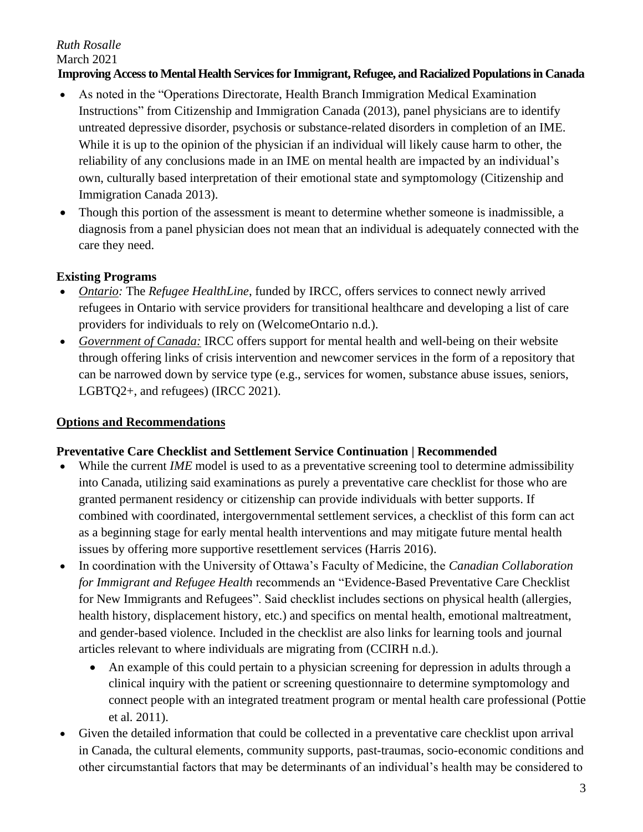#### *Ruth Rosalle* March 2021 **Improving Access to Mental Health Services for Immigrant, Refugee, and Racialized Populations in Canada**

- As noted in the "Operations Directorate, Health Branch Immigration Medical Examination Instructions" from Citizenship and Immigration Canada (2013), panel physicians are to identify untreated depressive disorder, psychosis or substance-related disorders in completion of an IME. While it is up to the opinion of the physician if an individual will likely cause harm to other, the reliability of any conclusions made in an IME on mental health are impacted by an individual's own, culturally based interpretation of their emotional state and symptomology (Citizenship and Immigration Canada 2013).
- Though this portion of the assessment is meant to determine whether someone is inadmissible, a diagnosis from a panel physician does not mean that an individual is adequately connected with the care they need.

## **Existing Programs**

- *Ontario:* The *Refugee HealthLine*, funded by IRCC, offers services to connect newly arrived refugees in Ontario with service providers for transitional healthcare and developing a list of care providers for individuals to rely on (WelcomeOntario n.d.).
- *Government of Canada:* IRCC offers support for mental health and well-being on their website through offering links of crisis intervention and newcomer services in the form of a repository that can be narrowed down by service type (e.g., services for women, substance abuse issues, seniors, LGBTQ2+, and refugees) (IRCC 2021).

## **Options and Recommendations**

## **Preventative Care Checklist and Settlement Service Continuation | Recommended**

- While the current *IME* model is used to as a preventative screening tool to determine admissibility into Canada, utilizing said examinations as purely a preventative care checklist for those who are granted permanent residency or citizenship can provide individuals with better supports. If combined with coordinated, intergovernmental settlement services, a checklist of this form can act as a beginning stage for early mental health interventions and may mitigate future mental health issues by offering more supportive resettlement services (Harris 2016).
- In coordination with the University of Ottawa's Faculty of Medicine, the *Canadian Collaboration for Immigrant and Refugee Health* recommends an "Evidence-Based Preventative Care Checklist for New Immigrants and Refugees". Said checklist includes sections on physical health (allergies, health history, displacement history, etc.) and specifics on mental health, emotional maltreatment, and gender-based violence. Included in the checklist are also links for learning tools and journal articles relevant to where individuals are migrating from (CCIRH n.d.).
	- An example of this could pertain to a physician screening for depression in adults through a clinical inquiry with the patient or screening questionnaire to determine symptomology and connect people with an integrated treatment program or mental health care professional (Pottie et al. 2011).
- Given the detailed information that could be collected in a preventative care checklist upon arrival in Canada, the cultural elements, community supports, past-traumas, socio-economic conditions and other circumstantial factors that may be determinants of an individual's health may be considered to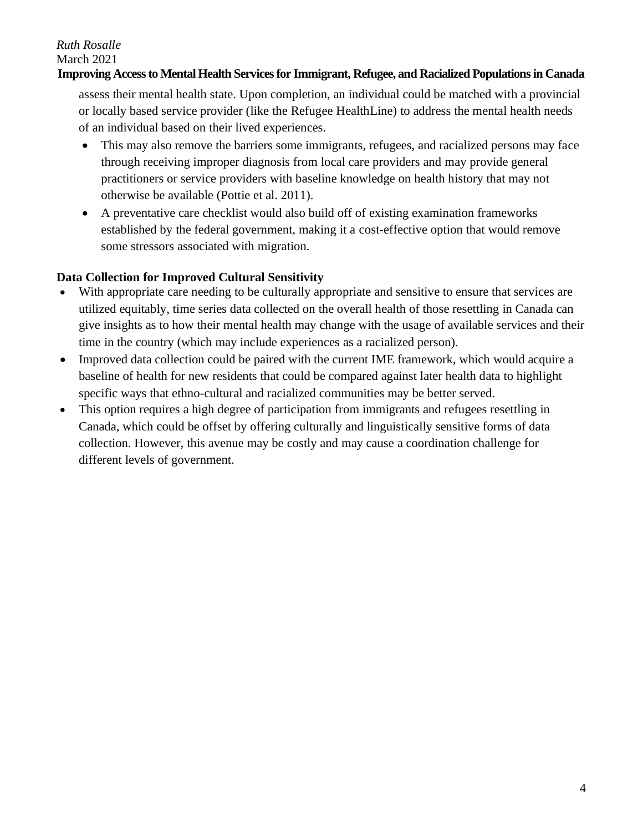# *Ruth Rosalle*

March 2021

#### **Improving Access to Mental Health Services for Immigrant, Refugee, and Racialized Populations in Canada**

assess their mental health state. Upon completion, an individual could be matched with a provincial or locally based service provider (like the Refugee HealthLine) to address the mental health needs of an individual based on their lived experiences.

- This may also remove the barriers some immigrants, refugees, and racialized persons may face through receiving improper diagnosis from local care providers and may provide general practitioners or service providers with baseline knowledge on health history that may not otherwise be available (Pottie et al. 2011).
- A preventative care checklist would also build off of existing examination frameworks established by the federal government, making it a cost-effective option that would remove some stressors associated with migration.

## **Data Collection for Improved Cultural Sensitivity**

- With appropriate care needing to be culturally appropriate and sensitive to ensure that services are utilized equitably, time series data collected on the overall health of those resettling in Canada can give insights as to how their mental health may change with the usage of available services and their time in the country (which may include experiences as a racialized person).
- Improved data collection could be paired with the current IME framework, which would acquire a baseline of health for new residents that could be compared against later health data to highlight specific ways that ethno-cultural and racialized communities may be better served.
- This option requires a high degree of participation from immigrants and refugees resettling in Canada, which could be offset by offering culturally and linguistically sensitive forms of data collection. However, this avenue may be costly and may cause a coordination challenge for different levels of government.